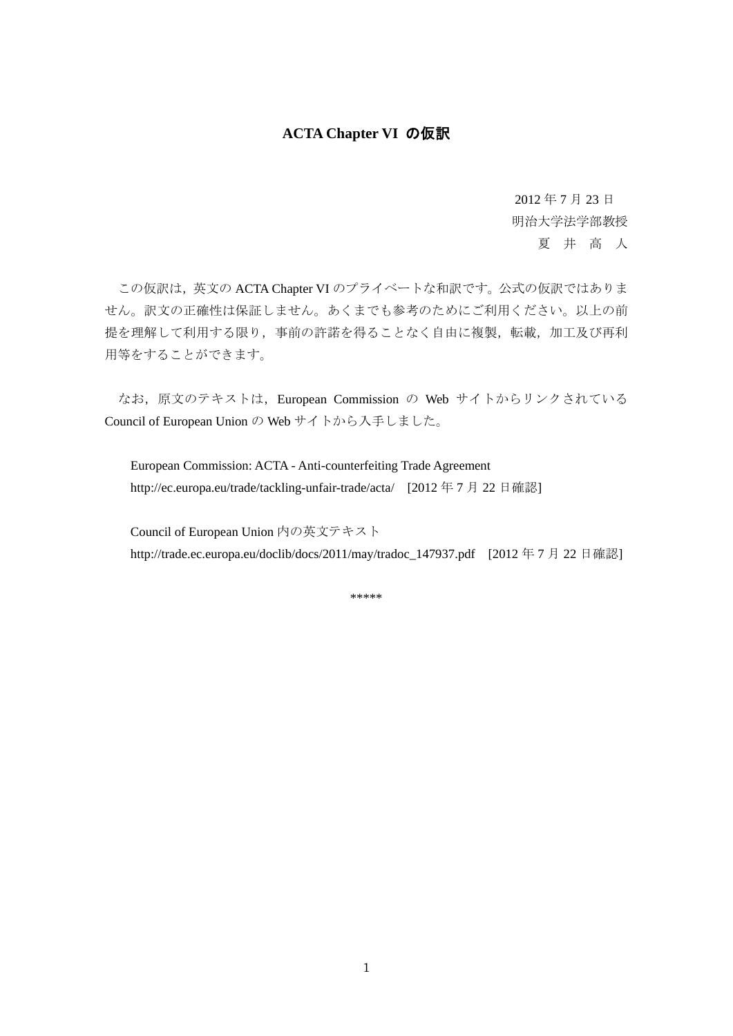## **ACTA Chapter VI** の仮訳

2012 年 7 月 23 日 明治大学法学部教授

夏 井 高 人

この仮訳は、英文の ACTA Chapter VI のプライベートな和訳です。公式の仮訳ではありま せん。訳文の正確性は保証しません。あくまでも参考のためにご利用ください。以上の前 提を理解して利用する限り、事前の許諾を得ることなく自由に複製,転載、加工及び再利 用等をすることができます。

なお、原文のテキストは、European Commission の Web サイトからリンクされている Council of European Union の Web サイトから入手しました。

European Commission: ACTA - Anti-counterfeiting Trade Agreement http://ec.europa.eu/trade/tackling-unfair-trade/acta/ [2012年7月22日確認]

Council of European Union 内の英文テキスト http://trade.ec.europa.eu/doclib/docs/2011/may/tradoc\_147937.pdf [2012年7月22日確認]

\*\*\*\*\*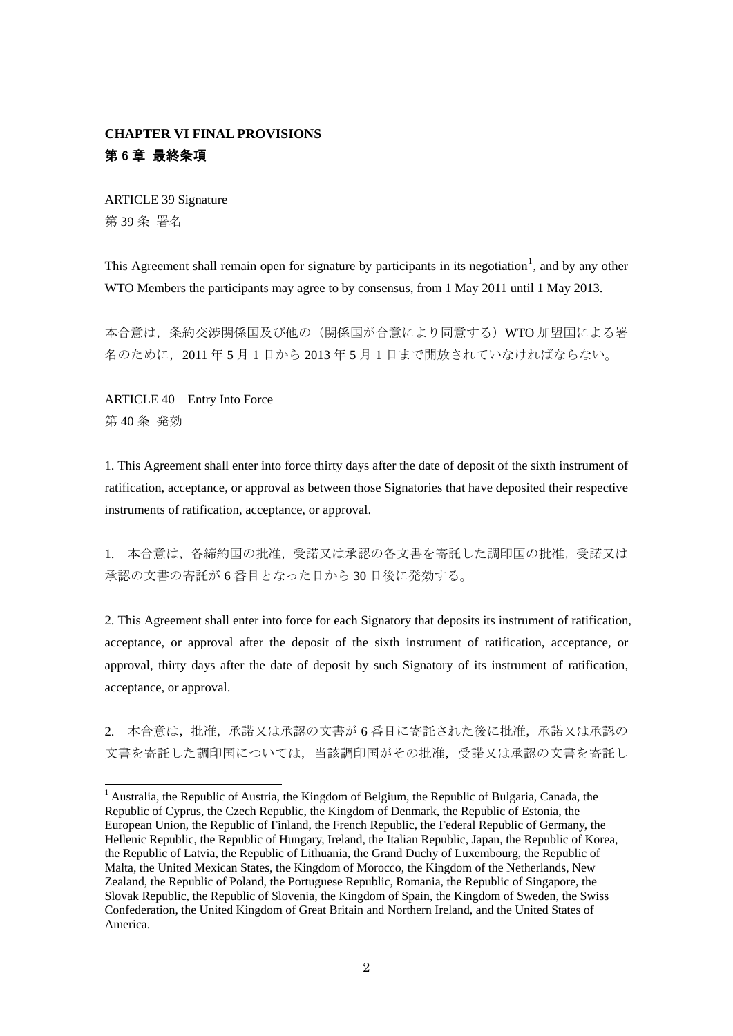## **CHAPTER VI FINAL PROVISIONS**  第 6 章 最終条項

ARTICLE 39 Signature 第 39 条 署名

This Agreement shall remain open for signature by participants in its negotiation<sup>[1](#page-1-0)</sup>, and by any other WTO Members the participants may agree to by consensus, from 1 May 2011 until 1 May 2013.

本合意は,条約交渉関係国及び他の(関係国が合意により同意する)WTO 加盟国による署 名のために,2011 年 5 月 1 日から 2013 年 5 月 1 日まで開放されていなければならない。

ARTICLE 40 Entry Into Force 第 40 条 発効

1. This Agreement shall enter into force thirty days after the date of deposit of the sixth instrument of ratification, acceptance, or approval as between those Signatories that have deposited their respective instruments of ratification, acceptance, or approval.

1. 本合意は,各締約国の批准,受諾又は承認の各文書を寄託した調印国の批准,受諾又は 承認の文書の寄託が 6 番目となった日から 30 日後に発効する。

2. This Agreement shall enter into force for each Signatory that deposits its instrument of ratification, acceptance, or approval after the deposit of the sixth instrument of ratification, acceptance, or approval, thirty days after the date of deposit by such Signatory of its instrument of ratification, acceptance, or approval.

2. 本合意は,批准,承諾又は承認の文書が 6 番目に寄託された後に批准,承諾又は承認の 文書を寄託した調印国については,当該調印国がその批准,受諾又は承認の文書を寄託し

<span id="page-1-0"></span><sup>&</sup>lt;sup>1</sup> Australia, the Republic of Austria, the Kingdom of Belgium, the Republic of Bulgaria, Canada, the Republic of Cyprus, the Czech Republic, the Kingdom of Denmark, the Republic of Estonia, the European Union, the Republic of Finland, the French Republic, the Federal Republic of Germany, the Hellenic Republic, the Republic of Hungary, Ireland, the Italian Republic, Japan, the Republic of Korea, the Republic of Latvia, the Republic of Lithuania, the Grand Duchy of Luxembourg, the Republic of Malta, the United Mexican States, the Kingdom of Morocco, the Kingdom of the Netherlands, New Zealand, the Republic of Poland, the Portuguese Republic, Romania, the Republic of Singapore, the Slovak Republic, the Republic of Slovenia, the Kingdom of Spain, the Kingdom of Sweden, the Swiss Confederation, the United Kingdom of Great Britain and Northern Ireland, and the United States of America.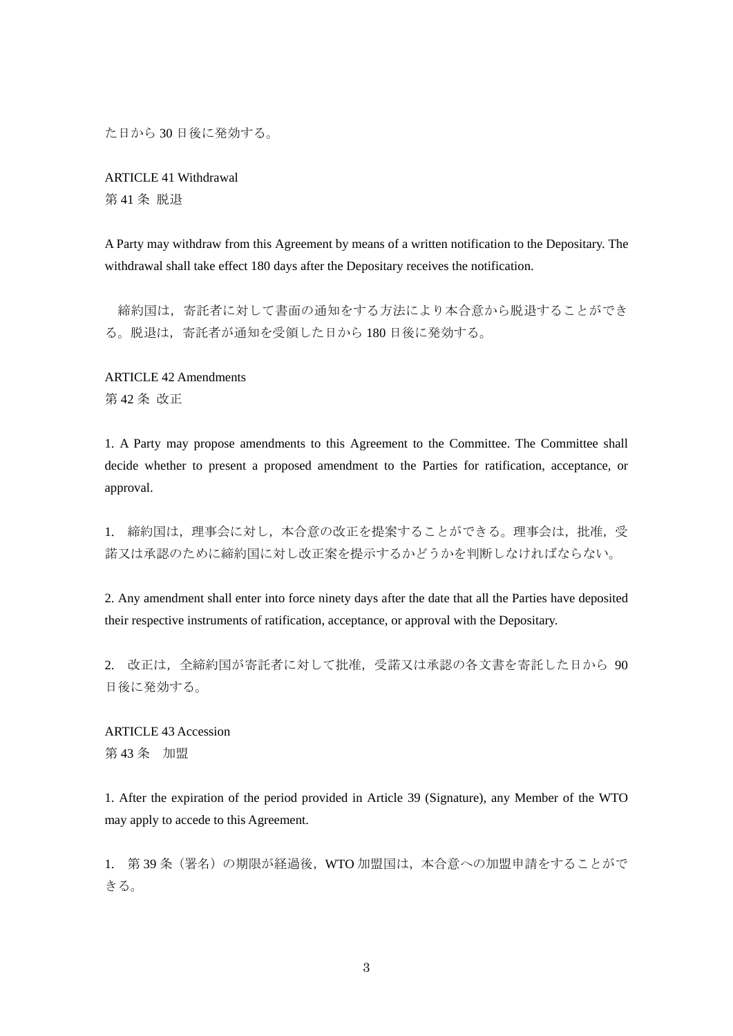た日から 30 日後に発効する。

ARTICLE 41 Withdrawal 第 41 条 脱退

A Party may withdraw from this Agreement by means of a written notification to the Depositary. The withdrawal shall take effect 180 days after the Depositary receives the notification.

 締約国は,寄託者に対して書面の通知をする方法により本合意から脱退することができ る。脱退は,寄託者が通知を受領した日から 180 日後に発効する。

ARTICLE 42 Amendments 第 42 条 改正

1. A Party may propose amendments to this Agreement to the Committee. The Committee shall decide whether to present a proposed amendment to the Parties for ratification, acceptance, or approval.

1. 締約国は,理事会に対し,本合意の改正を提案することができる。理事会は,批准,受 諾又は承認のために締約国に対し改正案を提示するかどうかを判断しなければならない。

2. Any amendment shall enter into force ninety days after the date that all the Parties have deposited their respective instruments of ratification, acceptance, or approval with the Depositary.

2. 改正は,全締約国が寄託者に対して批准,受諾又は承認の各文書を寄託した日から 90 日後に発効する。

ARTICLE 43 Accession 第 43 条 加盟

1. After the expiration of the period provided in Article 39 (Signature), any Member of the WTO may apply to accede to this Agreement.

1. 第39条 (署名)の期限が経過後, WTO 加盟国は,本合意への加盟申請をすることがで きる。